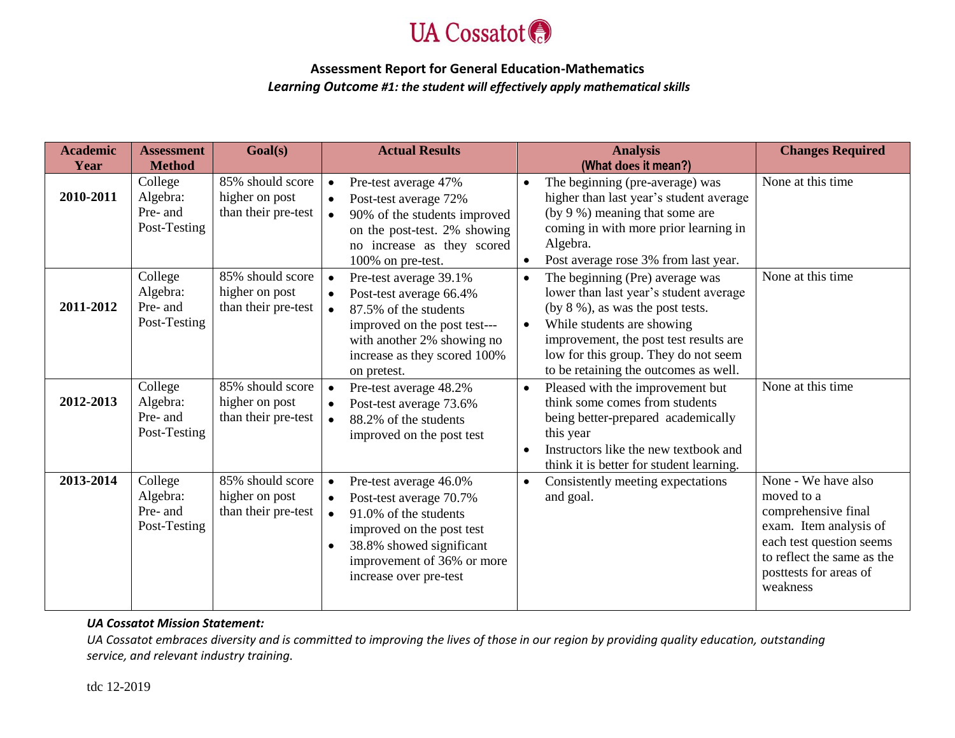

# **Assessment Report for General Education-Mathematics** *Learning Outcome #1: the student will effectively apply mathematical skills*

| <b>Academic</b> | <b>Assessment</b>                               | Goal(s)                                                   |                                                  | <b>Actual Results</b>                                                                                                                                                                       |                        | <b>Analysis</b>                                                                                                                                                                                                                                                           | <b>Changes Required</b>                                                                                                                                                            |
|-----------------|-------------------------------------------------|-----------------------------------------------------------|--------------------------------------------------|---------------------------------------------------------------------------------------------------------------------------------------------------------------------------------------------|------------------------|---------------------------------------------------------------------------------------------------------------------------------------------------------------------------------------------------------------------------------------------------------------------------|------------------------------------------------------------------------------------------------------------------------------------------------------------------------------------|
| Year            | <b>Method</b>                                   |                                                           |                                                  |                                                                                                                                                                                             |                        | (What does it mean?)                                                                                                                                                                                                                                                      |                                                                                                                                                                                    |
| 2010-2011       | College<br>Algebra:<br>Pre- and<br>Post-Testing | 85% should score<br>higher on post<br>than their pre-test | $\bullet$<br>$\bullet$<br>$\bullet$              | Pre-test average 47%<br>Post-test average 72%<br>90% of the students improved<br>on the post-test. 2% showing<br>no increase as they scored<br>100% on pre-test.                            | $\bullet$              | The beginning (pre-average) was<br>higher than last year's student average<br>(by 9 %) meaning that some are<br>coming in with more prior learning in<br>Algebra.<br>Post average rose 3% from last year.                                                                 | None at this time                                                                                                                                                                  |
| 2011-2012       | College<br>Algebra:<br>Pre- and<br>Post-Testing | 85% should score<br>higher on post<br>than their pre-test | $\bullet$<br>$\bullet$<br>$\bullet$              | Pre-test average 39.1%<br>Post-test average 66.4%<br>87.5% of the students<br>improved on the post test---<br>with another 2% showing no<br>increase as they scored 100%<br>on pretest.     | $\bullet$              | The beginning (Pre) average was<br>lower than last year's student average<br>(by $8\%$ ), as was the post tests.<br>While students are showing<br>improvement, the post test results are<br>low for this group. They do not seem<br>to be retaining the outcomes as well. | None at this time                                                                                                                                                                  |
| 2012-2013       | College<br>Algebra:<br>Pre- and<br>Post-Testing | 85% should score<br>higher on post<br>than their pre-test | $\bullet$<br>$\bullet$                           | Pre-test average 48.2%<br>Post-test average 73.6%<br>88.2% of the students<br>improved on the post test                                                                                     | $\bullet$<br>$\bullet$ | Pleased with the improvement but<br>think some comes from students<br>being better-prepared academically<br>this year<br>Instructors like the new textbook and<br>think it is better for student learning.                                                                | None at this time                                                                                                                                                                  |
| 2013-2014       | College<br>Algebra:<br>Pre- and<br>Post-Testing | 85% should score<br>higher on post<br>than their pre-test | $\bullet$<br>$\bullet$<br>$\bullet$<br>$\bullet$ | Pre-test average 46.0%<br>Post-test average 70.7%<br>91.0% of the students<br>improved on the post test<br>38.8% showed significant<br>improvement of 36% or more<br>increase over pre-test | $\bullet$              | Consistently meeting expectations<br>and goal.                                                                                                                                                                                                                            | None - We have also<br>moved to a<br>comprehensive final<br>exam. Item analysis of<br>each test question seems<br>to reflect the same as the<br>posttests for areas of<br>weakness |

### *UA Cossatot Mission Statement:*

*UA Cossatot embraces diversity and is committed to improving the lives of those in our region by providing quality education, outstanding service, and relevant industry training.*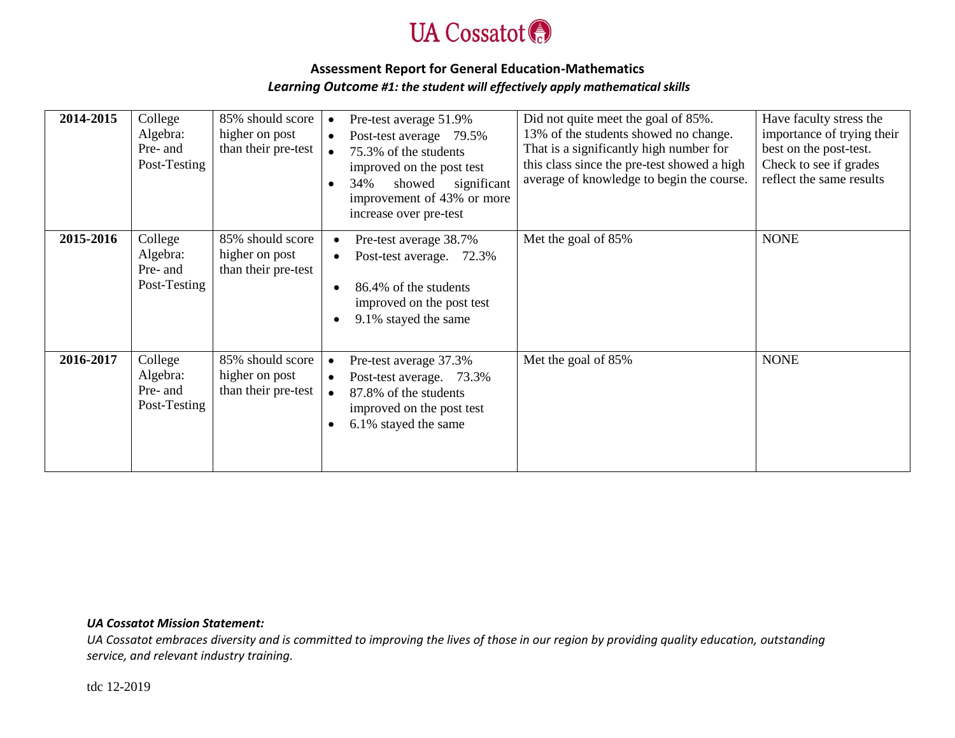

# **Assessment Report for General Education-Mathematics** *Learning Outcome #1: the student will effectively apply mathematical skills*

| 2014-2015 | College<br>Algebra:<br>Pre- and<br>Post-Testing | 85% should score<br>higher on post<br>than their pre-test | Pre-test average 51.9%<br>Post-test average 79.5%<br>$\bullet$<br>75.3% of the students<br>improved on the post test<br>34%<br>showed<br>significant<br>improvement of 43% or more<br>increase over pre-test | Did not quite meet the goal of 85%.<br>13% of the students showed no change.<br>That is a significantly high number for<br>this class since the pre-test showed a high<br>average of knowledge to begin the course. | Have faculty stress the<br>importance of trying their<br>best on the post-test.<br>Check to see if grades<br>reflect the same results |
|-----------|-------------------------------------------------|-----------------------------------------------------------|--------------------------------------------------------------------------------------------------------------------------------------------------------------------------------------------------------------|---------------------------------------------------------------------------------------------------------------------------------------------------------------------------------------------------------------------|---------------------------------------------------------------------------------------------------------------------------------------|
| 2015-2016 | College<br>Algebra:<br>Pre- and<br>Post-Testing | 85% should score<br>higher on post<br>than their pre-test | Pre-test average 38.7%<br>Post-test average. 72.3%<br>86.4% of the students<br>improved on the post test<br>9.1% stayed the same                                                                             | Met the goal of 85%                                                                                                                                                                                                 | <b>NONE</b>                                                                                                                           |
| 2016-2017 | College<br>Algebra:<br>Pre- and<br>Post-Testing | 85% should score<br>higher on post<br>than their pre-test | Pre-test average 37.3%<br>$\bullet$<br>Post-test average. 73.3%<br>$\bullet$<br>87.8% of the students<br>improved on the post test<br>6.1% stayed the same                                                   | Met the goal of 85%                                                                                                                                                                                                 | <b>NONE</b>                                                                                                                           |

#### *UA Cossatot Mission Statement:*

*UA Cossatot embraces diversity and is committed to improving the lives of those in our region by providing quality education, outstanding service, and relevant industry training.*